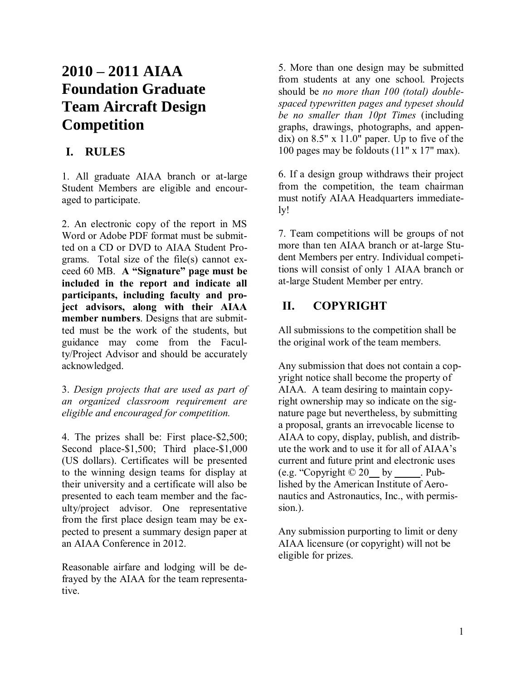# **2010 – 2011 AIAA Foundation Graduate Team Aircraft Design Competition**

# **I. RULES**

1. All graduate AIAA branch or at-large Student Members are eligible and encouraged to participate.

2. An electronic copy of the report in MS Word or Adobe PDF format must be submitted on a CD or DVD to AIAA Student Programs. Total size of the file(s) cannot exceed 60 MB. **A "Signature" page must be included in the report and indicate all participants, including faculty and project advisors, along with their AIAA member numbers**. Designs that are submitted must be the work of the students, but guidance may come from the Faculty/Project Advisor and should be accurately acknowledged.

3. *Design projects that are used as part of an organized classroom requirement are eligible and encouraged for competition.*

4. The prizes shall be: First place-\$2,500; Second place-\$1,500; Third place-\$1,000 (US dollars). Certificates will be presented to the winning design teams for display at their university and a certificate will also be presented to each team member and the faculty/project advisor. One representative from the first place design team may be expected to present a summary design paper at an AIAA Conference in 2012.

Reasonable airfare and lodging will be defrayed by the AIAA for the team representative.

5. More than one design may be submitted from students at any one school. Projects should be *no more than 100 (total) doublespaced typewritten pages and typeset should be no smaller than 10pt Times* (including graphs, drawings, photographs, and appendix) on 8.5" x 11.0" paper. Up to five of the 100 pages may be foldouts (11" x 17" max).

6. If a design group withdraws their project from the competition, the team chairman must notify AIAA Headquarters immediately!

7. Team competitions will be groups of not more than ten AIAA branch or at-large Student Members per entry. Individual competitions will consist of only 1 AIAA branch or at-large Student Member per entry.

# **II. COPYRIGHT**

All submissions to the competition shall be the original work of the team members.

Any submission that does not contain a copyright notice shall become the property of AIAA. A team desiring to maintain copyright ownership may so indicate on the signature page but nevertheless, by submitting a proposal, grants an irrevocable license to AIAA to copy, display, publish, and distribute the work and to use it for all of AIAA's current and future print and electronic uses  $(e.g. "Copyright © 20$  by \_\_\_\_\_. Published by the American Institute of Aeronautics and Astronautics, Inc., with permission.).

Any submission purporting to limit or deny AIAA licensure (or copyright) will not be eligible for prizes.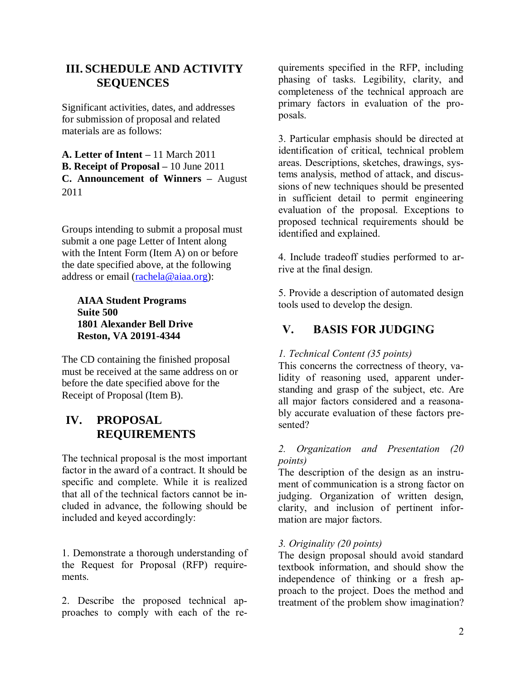## **III. SCHEDULE AND ACTIVITY SEQUENCES**

Significant activities, dates, and addresses for submission of proposal and related materials are as follows:

**A. Letter of Intent –** 11 March 2011 **B. Receipt of Proposal –** 10 June 2011 **C. Announcement of Winners –** August 2011

Groups intending to submit a proposal must submit a one page Letter of Intent along with the Intent Form (Item A) on or before the date specified above, at the following address or email [\(rachela@aiaa.org\)](mailto:rachela@aiaa.org):

#### **AIAA Student Programs Suite 500 1801 Alexander Bell Drive Reston, VA 20191-4344**

The CD containing the finished proposal must be received at the same address on or before the date specified above for the Receipt of Proposal (Item B).

## **IV. PROPOSAL REQUIREMENTS**

The technical proposal is the most important factor in the award of a contract. It should be specific and complete. While it is realized that all of the technical factors cannot be included in advance, the following should be included and keyed accordingly:

1. Demonstrate a thorough understanding of the Request for Proposal (RFP) requirements.

2. Describe the proposed technical approaches to comply with each of the re-

quirements specified in the RFP, including phasing of tasks. Legibility, clarity, and completeness of the technical approach are primary factors in evaluation of the proposals.

3. Particular emphasis should be directed at identification of critical, technical problem areas. Descriptions, sketches, drawings, systems analysis, method of attack, and discussions of new techniques should be presented in sufficient detail to permit engineering evaluation of the proposal. Exceptions to proposed technical requirements should be identified and explained.

4. Include tradeoff studies performed to arrive at the final design.

5. Provide a description of automated design tools used to develop the design.

# **V. BASIS FOR JUDGING**

#### *1. Technical Content (35 points)*

This concerns the correctness of theory, validity of reasoning used, apparent understanding and grasp of the subject, etc. Are all major factors considered and a reasonably accurate evaluation of these factors presented?

#### *2. Organization and Presentation (20 points)*

The description of the design as an instrument of communication is a strong factor on judging. Organization of written design, clarity, and inclusion of pertinent information are major factors.

#### *3. Originality (20 points)*

The design proposal should avoid standard textbook information, and should show the independence of thinking or a fresh approach to the project. Does the method and treatment of the problem show imagination?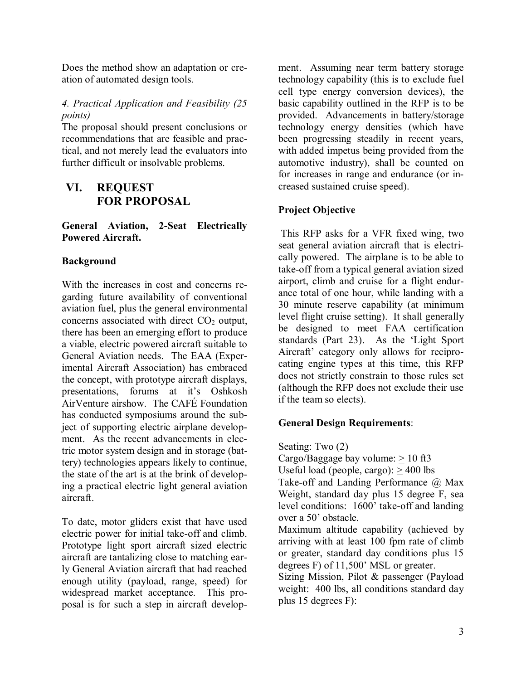Does the method show an adaptation or creation of automated design tools.

#### *4. Practical Application and Feasibility (25 points)*

The proposal should present conclusions or recommendations that are feasible and practical, and not merely lead the evaluators into further difficult or insolvable problems.

### **VI. REQUEST FOR PROPOSAL**

**General Aviation, 2-Seat Electrically Powered Aircraft.**

#### **Background**

With the increases in cost and concerns regarding future availability of conventional aviation fuel, plus the general environmental concerns associated with direct  $CO<sub>2</sub>$  output, there has been an emerging effort to produce a viable, electric powered aircraft suitable to General Aviation needs. The EAA (Experimental Aircraft Association) has embraced the concept, with prototype aircraft displays, presentations, forums at it's Oshkosh AirVenture airshow. The CAFÉ Foundation has conducted symposiums around the subject of supporting electric airplane development. As the recent advancements in electric motor system design and in storage (battery) technologies appears likely to continue, the state of the art is at the brink of developing a practical electric light general aviation aircraft.

To date, motor gliders exist that have used electric power for initial take-off and climb. Prototype light sport aircraft sized electric aircraft are tantalizing close to matching early General Aviation aircraft that had reached enough utility (payload, range, speed) for widespread market acceptance. This proposal is for such a step in aircraft development. Assuming near term battery storage technology capability (this is to exclude fuel cell type energy conversion devices), the basic capability outlined in the RFP is to be provided. Advancements in battery/storage technology energy densities (which have been progressing steadily in recent years, with added impetus being provided from the automotive industry), shall be counted on for increases in range and endurance (or increased sustained cruise speed).

#### **Project Objective**

This RFP asks for a VFR fixed wing, two seat general aviation aircraft that is electrically powered. The airplane is to be able to take-off from a typical general aviation sized airport, climb and cruise for a flight endurance total of one hour, while landing with a 30 minute reserve capability (at minimum level flight cruise setting). It shall generally be designed to meet FAA certification standards (Part 23). As the 'Light Sport Aircraft' category only allows for reciprocating engine types at this time, this RFP does not strictly constrain to those rules set (although the RFP does not exclude their use if the team so elects).

#### **General Design Requirements**:

Seating: Two (2)

Cargo/Baggage bay volume:  $> 10$  ft3

Useful load (people, cargo):  $> 400$  lbs

Take-off and Landing Performance @ Max Weight, standard day plus 15 degree F, sea level conditions: 1600' take-off and landing over a 50' obstacle.

Maximum altitude capability (achieved by arriving with at least 100 fpm rate of climb or greater, standard day conditions plus 15 degrees F) of 11,500' MSL or greater.

Sizing Mission, Pilot & passenger (Payload weight: 400 lbs, all conditions standard day plus 15 degrees F):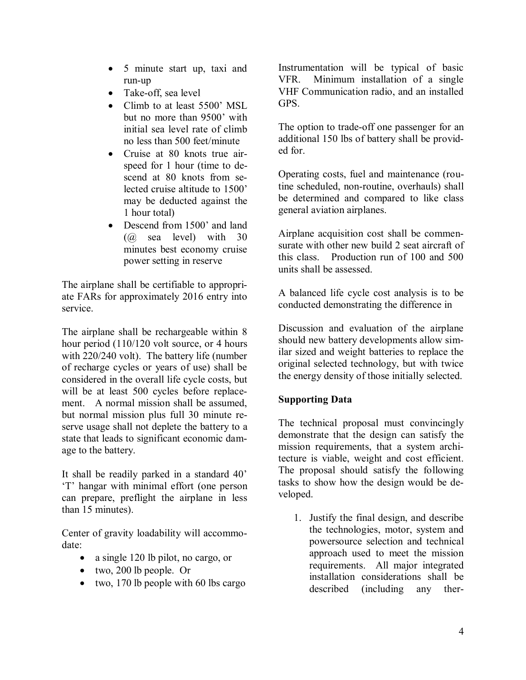- 5 minute start up, taxi and run-up
- Take-off, sea level
- Climb to at least 5500' MSL but no more than 9500' with initial sea level rate of climb no less than 500 feet/minute
- Cruise at 80 knots true airspeed for 1 hour (time to descend at 80 knots from selected cruise altitude to 1500' may be deducted against the 1 hour total)
- Descend from 1500' and land (@ sea level) with 30 minutes best economy cruise power setting in reserve

The airplane shall be certifiable to appropriate FARs for approximately 2016 entry into service.

The airplane shall be rechargeable within 8 hour period (110/120 volt source, or 4 hours with 220/240 volt). The battery life (number of recharge cycles or years of use) shall be considered in the overall life cycle costs, but will be at least 500 cycles before replacement. A normal mission shall be assumed, but normal mission plus full 30 minute reserve usage shall not deplete the battery to a state that leads to significant economic damage to the battery.

It shall be readily parked in a standard 40' 'T' hangar with minimal effort (one person can prepare, preflight the airplane in less than 15 minutes).

Center of gravity loadability will accommodate:

- a single 120 lb pilot, no cargo, or
- two, 200 lb people. Or
- $\bullet$  two, 170 lb people with 60 lbs cargo

Instrumentation will be typical of basic VFR. Minimum installation of a single VHF Communication radio, and an installed GPS.

The option to trade-off one passenger for an additional 150 lbs of battery shall be provided for.

Operating costs, fuel and maintenance (routine scheduled, non-routine, overhauls) shall be determined and compared to like class general aviation airplanes.

Airplane acquisition cost shall be commensurate with other new build 2 seat aircraft of this class. Production run of 100 and 500 units shall be assessed.

A balanced life cycle cost analysis is to be conducted demonstrating the difference in

Discussion and evaluation of the airplane should new battery developments allow similar sized and weight batteries to replace the original selected technology, but with twice the energy density of those initially selected.

#### **Supporting Data**

The technical proposal must convincingly demonstrate that the design can satisfy the mission requirements, that a system architecture is viable, weight and cost efficient. The proposal should satisfy the following tasks to show how the design would be developed.

1. Justify the final design, and describe the technologies, motor, system and powersource selection and technical approach used to meet the mission requirements. All major integrated installation considerations shall be described (including any ther-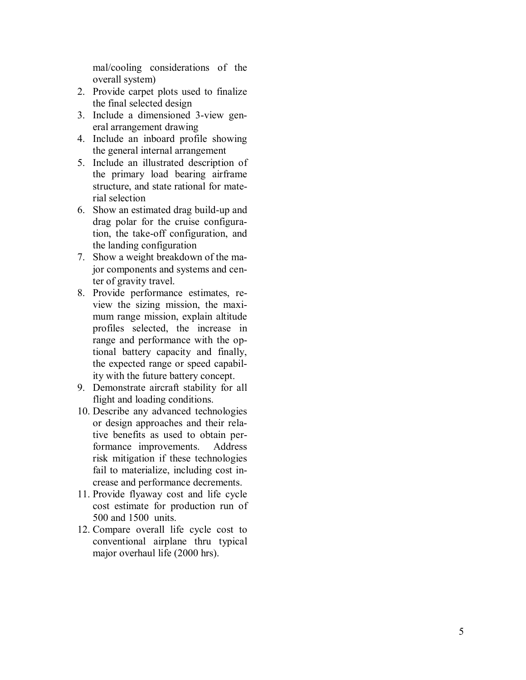mal/cooling considerations of the overall system)

- 2. Provide carpet plots used to finalize the final selected design
- 3. Include a dimensioned 3 -view general arrangement drawing
- 4. Include an inboard profile showing the general internal arrangement
- 5. Include an illustrated description of the primary load bearing airframe structure, and state rational for m aterial selection
- 6. Show an estimated drag build -up and drag polar for the cruise configuration, the take-off configuration, and the landing configuration
- 7. Show a weight breakdown of the major components and systems and center of gravity travel.
- 8. Provide performance estimates, review the sizing mission, the maximum range mission, explain altitude profiles selected, the increase in range and performance with the optional battery capacity and finally, the expected range or speed capabil ity with the future battery concept.
- 9. Demonstrate aircraft stability for all flight and loading conditions.
- 10. Describe any advanced technologies or design approaches and their relative benefits as used to obtain performance improvements. Address risk mitigation if these technologies fail to materialize, including cost increase and performance decrements.
- 11. Provide flyaway cost and life cycle cost estimate for production run of 500 and 1500 units.
- 12. Compare overall life cycle cost to conventional airplane thru typical major overhaul life (2000 hrs).